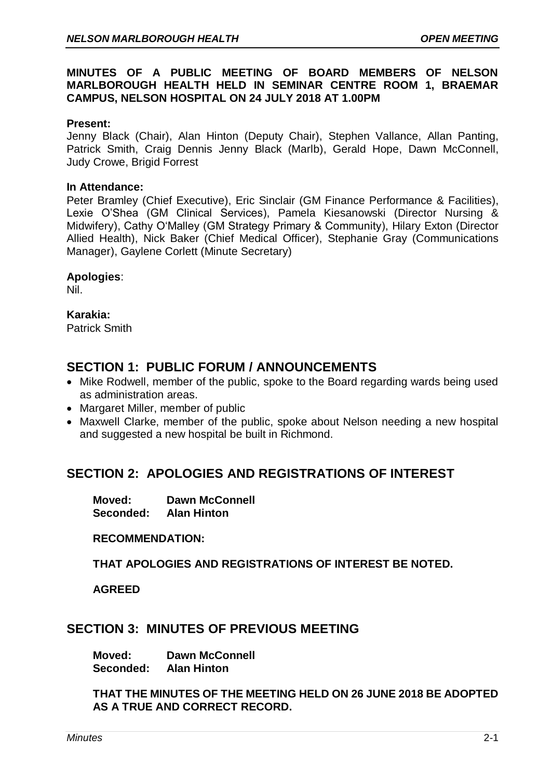## **MINUTES OF A PUBLIC MEETING OF BOARD MEMBERS OF NELSON MARLBOROUGH HEALTH HELD IN SEMINAR CENTRE ROOM 1, BRAEMAR CAMPUS, NELSON HOSPITAL ON 24 JULY 2018 AT 1.00PM**

### **Present:**

Jenny Black (Chair), Alan Hinton (Deputy Chair), Stephen Vallance, Allan Panting, Patrick Smith, Craig Dennis Jenny Black (Marlb), Gerald Hope, Dawn McConnell, Judy Crowe, Brigid Forrest

#### **In Attendance:**

Peter Bramley (Chief Executive), Eric Sinclair (GM Finance Performance & Facilities), Lexie O'Shea (GM Clinical Services), Pamela Kiesanowski (Director Nursing & Midwifery), Cathy O'Malley (GM Strategy Primary & Community), Hilary Exton (Director Allied Health), Nick Baker (Chief Medical Officer), Stephanie Gray (Communications Manager), Gaylene Corlett (Minute Secretary)

### **Apologies**:

Nil.

**Karakia:**

Patrick Smith

# **SECTION 1: PUBLIC FORUM / ANNOUNCEMENTS**

- Mike Rodwell, member of the public, spoke to the Board regarding wards being used as administration areas.
- Margaret Miller, member of public
- Maxwell Clarke, member of the public, spoke about Nelson needing a new hospital and suggested a new hospital be built in Richmond.

# **SECTION 2: APOLOGIES AND REGISTRATIONS OF INTEREST**

| Moved:    | <b>Dawn McConnell</b> |
|-----------|-----------------------|
| Seconded: | <b>Alan Hinton</b>    |

#### **RECOMMENDATION:**

**THAT APOLOGIES AND REGISTRATIONS OF INTEREST BE NOTED.**

## **AGREED**

## **SECTION 3: MINUTES OF PREVIOUS MEETING**

**Moved: Dawn McConnell Seconded: Alan Hinton**

**THAT THE MINUTES OF THE MEETING HELD ON 26 JUNE 2018 BE ADOPTED AS A TRUE AND CORRECT RECORD.**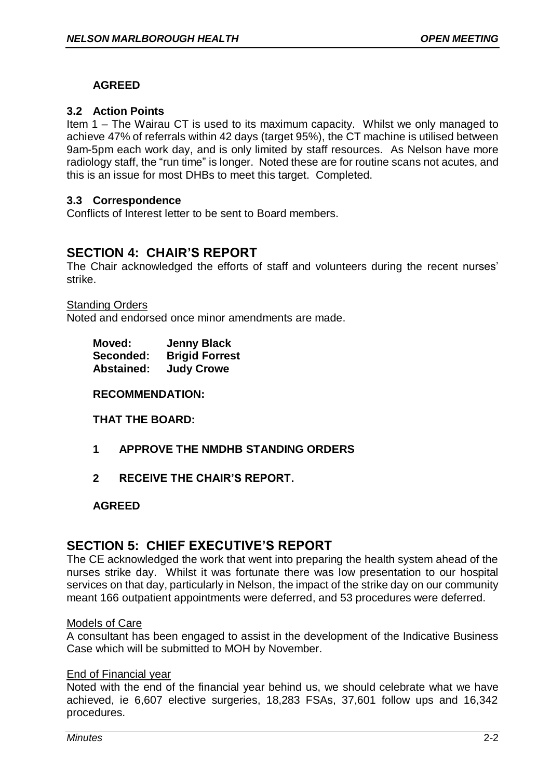## **AGREED**

### **3.2 Action Points**

Item 1 – The Wairau CT is used to its maximum capacity. Whilst we only managed to achieve 47% of referrals within 42 days (target 95%), the CT machine is utilised between 9am-5pm each work day, and is only limited by staff resources. As Nelson have more radiology staff, the "run time" is longer. Noted these are for routine scans not acutes, and this is an issue for most DHBs to meet this target. Completed.

### **3.3 Correspondence**

Conflicts of Interest letter to be sent to Board members.

# **SECTION 4: CHAIR'S REPORT**

The Chair acknowledged the efforts of staff and volunteers during the recent nurses' strike.

Standing Orders

Noted and endorsed once minor amendments are made.

| Moved:            | <b>Jenny Black</b>    |
|-------------------|-----------------------|
| Seconded:         | <b>Brigid Forrest</b> |
| <b>Abstained:</b> | <b>Judy Crowe</b>     |

#### **RECOMMENDATION:**

## **THAT THE BOARD:**

- **1 APPROVE THE NMDHB STANDING ORDERS**
- **2 RECEIVE THE CHAIR'S REPORT.**

## **AGREED**

## **SECTION 5: CHIEF EXECUTIVE'S REPORT**

The CE acknowledged the work that went into preparing the health system ahead of the nurses strike day. Whilst it was fortunate there was low presentation to our hospital services on that day, particularly in Nelson, the impact of the strike day on our community meant 166 outpatient appointments were deferred, and 53 procedures were deferred.

#### Models of Care

A consultant has been engaged to assist in the development of the Indicative Business Case which will be submitted to MOH by November.

#### End of Financial year

Noted with the end of the financial year behind us, we should celebrate what we have achieved, ie 6,607 elective surgeries, 18,283 FSAs, 37,601 follow ups and 16,342 procedures.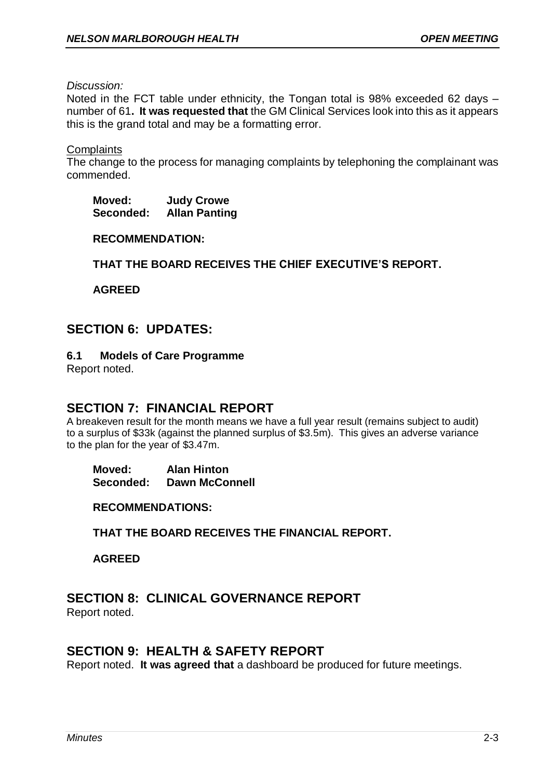*Discussion:*

Noted in the FCT table under ethnicity, the Tongan total is 98% exceeded 62 days – number of 61**. It was requested that** the GM Clinical Services look into this as it appears this is the grand total and may be a formatting error.

**Complaints** 

The change to the process for managing complaints by telephoning the complainant was commended.

**Moved: Judy Crowe Seconded: Allan Panting**

**RECOMMENDATION:**

**THAT THE BOARD RECEIVES THE CHIEF EXECUTIVE'S REPORT.**

**AGREED**

# **SECTION 6: UPDATES:**

### **6.1 Models of Care Programme**

Report noted.

## **SECTION 7: FINANCIAL REPORT**

A breakeven result for the month means we have a full year result (remains subject to audit) to a surplus of \$33k (against the planned surplus of \$3.5m). This gives an adverse variance to the plan for the year of \$3.47m.

**Moved: Alan Hinton Seconded: Dawn McConnell**

**RECOMMENDATIONS:**

**THAT THE BOARD RECEIVES THE FINANCIAL REPORT.**

**AGREED**

## **SECTION 8: CLINICAL GOVERNANCE REPORT**

Report noted.

## **SECTION 9: HEALTH & SAFETY REPORT**

Report noted. **It was agreed that** a dashboard be produced for future meetings.